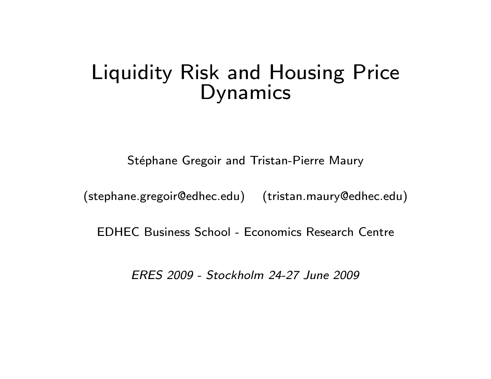# Liquidity Risk and Housing Price Dynamics

Stéphane Gregoir and Tristan-Pierre Maury

(stephane.gregoir@edhec.edu) (tristan.maury@edhec.edu)

EDHEC Business School - Economics Research Centre

ERES 2009 - Stockholm 24-27 June 2009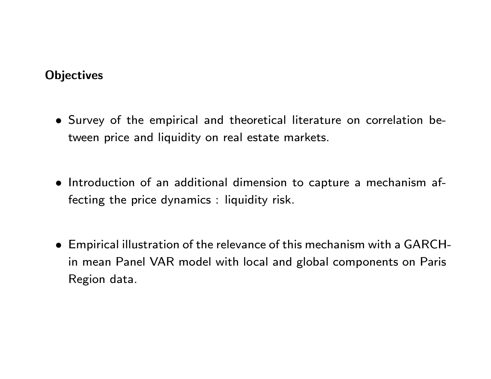# **Objectives**

- Survey of the empirical and theoretical literature on correlation between price and liquidity on real estate markets.
- $\bullet$  Introduction of an additional dimension to capture a mechanism affecting the price dynamics : liquidity risk.
- Empirical illustration of the relevance of this mechanism with a GARCHin mean Panel VAR model with local and global components on Paris Region data.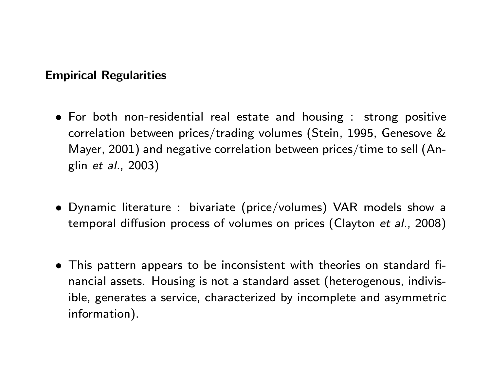# Empirical Regularities

- For both non-residential real estate and housing : strong positive correlation between prices/trading volumes (Stein, 1995, Genesove & Mayer, 2001) and negative correlation between prices/time to sell (Anglin et al., 2003)
- Dynamic literature : bivariate (price/volumes) VAR models show a temporal diffusion process of volumes on prices (Clayton et al., 2008)
- This pattern appears to be inconsistent with theories on standard financial assets. Housing is not a standard asset (heterogenous, indivisible, generates a service, characterized by incomplete and asymmetric information).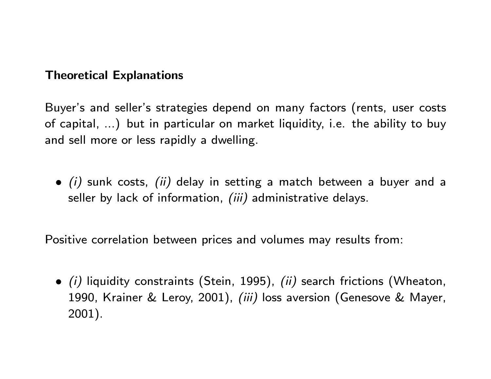# Theoretical Explanations

Buyer's and seller's strategies depend on many factors (rents, user costs of capital, ...) but in particular on market liquidity, i.e. the ability to buy and sell more or less rapidly a dwelling.

 $\bullet$  (i) sunk costs, (ii) delay in setting a match between a buyer and a seller by lack of information, (iii) administrative delays.

Positive correlation between prices and volumes may results from:

 $\bullet$  (i) liquidity constraints (Stein, 1995), (ii) search frictions (Wheaton, 1990, Krainer & Leroy, 2001), *(iii)* loss aversion (Genesove & Mayer, 2001).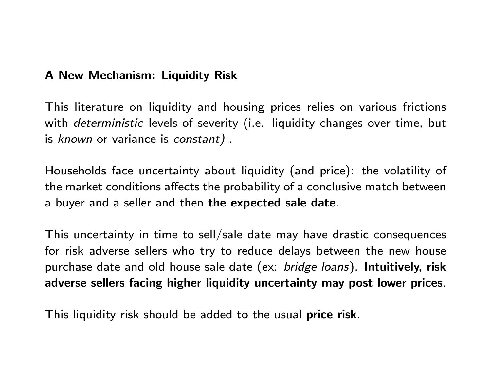# A New Mechanism: Liquidity Risk

This literature on liquidity and housing prices relies on various frictions with *deterministic* levels of severity (i.e. liquidity changes over time, but is known or variance is constant) .

Households face uncertainty about liquidity (and price): the volatility of the market conditions affects the probability of a conclusive match between a buyer and a seller and then the expected sale date.

This uncertainty in time to sell/sale date may have drastic consequences for risk adverse sellers who try to reduce delays between the new house purchase date and old house sale date (ex: bridge loans). Intuitively, risk adverse sellers facing higher liquidity uncertainty may post lower prices.

This liquidity risk should be added to the usual price risk.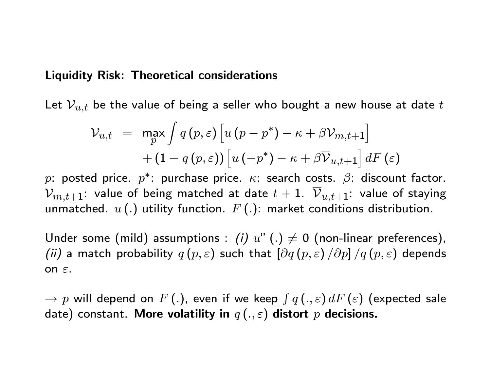#### Liquidity Risk: Theoretical considerations

Let  $\mathcal{V}_{u,t}$  be the value of being a seller who bought a new house at date  $t$ 

$$
\mathcal{V}_{u,t} = \max_{p} \int q(p,\varepsilon) \left[ u(p-p^*) - \kappa + \beta \mathcal{V}_{m,t+1} \right] + (1 - q(p,\varepsilon)) \left[ u(-p^*) - \kappa + \beta \overline{\mathcal{V}}_{u,t+1} \right] dF(\varepsilon)
$$

 $p\colon$  posted price.  $p^* \colon$  purchase price.  $\kappa \colon$  search costs.  $\beta \colon$  discount factor.  $\mathcal{V}_{m,t+1}$ : value of being matched at date  $t+1$ .  $\overline{\mathcal{V}}_{u,t+1}$ : value of staying unmatched.  $u(.)$  utility function.  $F(.)$ : market conditions distribution.

Under some (mild) assumptions : (i)  $u''$  (.)  $\neq$  0 (non-linear preferences), (ii) a match probability  $q(p, \varepsilon)$  such that  $\left[\partial q(p, \varepsilon) / \partial p\right]/q(p, \varepsilon)$  depends on  $\varepsilon$ .

 $\rightarrow p$  will depend on  $F\left(.\right)$ , even if we keep  $\int q\left(.,\varepsilon\right)dF\left( \varepsilon\right)$  (expected sale date) constant. More volatility in  $q(.,\varepsilon)$  distort p decisions.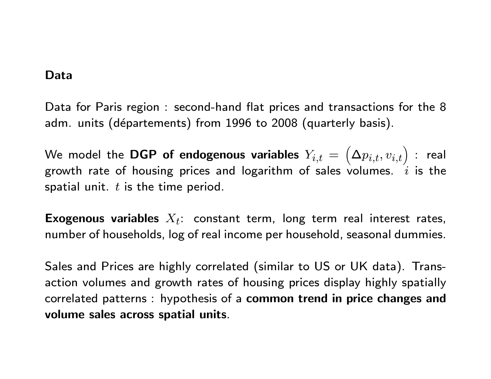#### Data

Data for Paris region : second-hand flat prices and transactions for the 8 adm. units (départements) from 1996 to 2008 (quarterly basis).

We model the  $\mathbf{DGP}$  of endogenous variables  $Y_{i,t}=$  $\left(\bm{\Delta}p_{i,t}, v_{i,t}\right)$  : real growth rate of housing prices and logarithm of sales volumes.  $i$  is the spatial unit.  $t$  is the time period.

Exogenous variables  $X_t$ : constant term, long term real interest rates, number of households, log of real income per household, seasonal dummies.

Sales and Prices are highly correlated (similar to US or UK data). Transaction volumes and growth rates of housing prices display highly spatially correlated patterns : hypothesis of a common trend in price changes and volume sales across spatial units.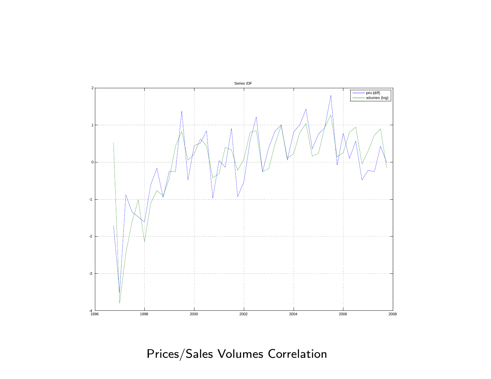

Prices/Sales Volumes Correlation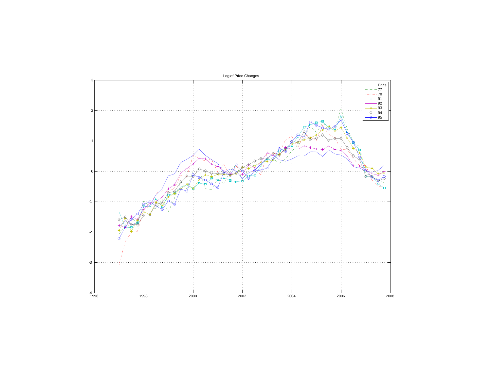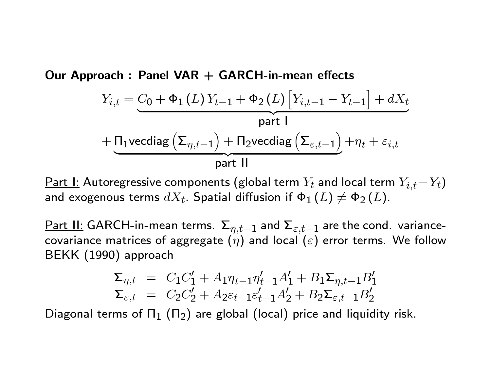Our Approach : Panel  $VAR + GARCH-in-mean$  effects

$$
Y_{i,t} = \underbrace{C_0 + \Phi_1(L) Y_{t-1} + \Phi_2(L) \left[ Y_{i,t-1} - Y_{t-1} \right] + dX_t}_{\text{part I}}
$$
\n
$$
+ \underbrace{\Pi_1 \text{vecdiag} \left( \Sigma_{\eta,t-1} \right) + \Pi_2 \text{vecdiag} \left( \Sigma_{\varepsilon,t-1} \right)}_{\text{part II}} + \eta_t + \varepsilon_{i,t}
$$

<u>Part I:</u> Autoregressive components (global term  $Y_t$  and local term  $Y_{i,t}-Y_t$ ) and exogenous terms  $dX_t.$  Spatial diffusion if  $\Phi_1 \left( L \right) \neq \Phi_2 \left( L \right).$ 

<u>Part II:</u> GARCH-in-mean terms.  $\Sigma_{\eta,t-1}$  and  $\Sigma_{\varepsilon,t-1}$  are the cond. variancecovariance matrices of aggregate  $(\eta)$  and local  $(\varepsilon)$  error terms. We follow BEKK (1990) approach

$$
\Sigma_{\eta,t} = C_1 C_1' + A_1 \eta_{t-1} \eta_{t-1}' A_1' + B_1 \Sigma_{\eta,t-1} B_1'
$$
  

$$
\Sigma_{\varepsilon,t} = C_2 C_2' + A_2 \varepsilon_{t-1} \varepsilon_{t-1}' A_2' + B_2 \Sigma_{\varepsilon,t-1} B_2'
$$

Diagonal terms of  $\Pi_1$  ( $\Pi_2$ ) are global (local) price and liquidity risk.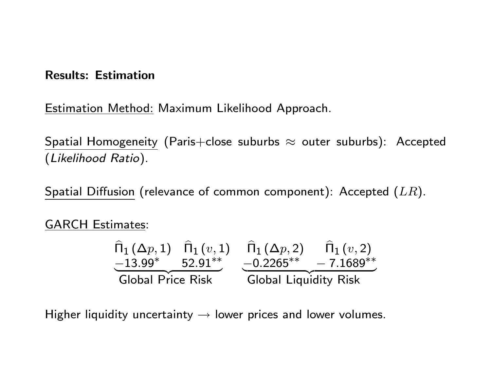### Results: Estimation

Estimation Method: Maximum Likelihood Approach.

Spatial Homogeneity (Paris+close suburbs  $\approx$  outer suburbs): Accepted (Likelihood Ratio).

Spatial Diffusion (relevance of common component): Accepted  $(LR)$ .

GARCH Estimates:

$$
\begin{array}{cccc}\n\widehat{\Pi}_{1}(\Delta p,1) & \widehat{\Pi}_{1}(v,1) & \widehat{\Pi}_{1}(\Delta p,2) & \widehat{\Pi}_{1}(v,2) \\
\underline{-13.99^{*}} & 52.91^{**} & \underline{-0.2265^{**}} & -7.1689^{**} \\
\hline\n\text{Global Price Risk} & \text{Global Liquidity Risk}\n\end{array}
$$

Higher liquidity uncertainty  $\rightarrow$  lower prices and lower volumes.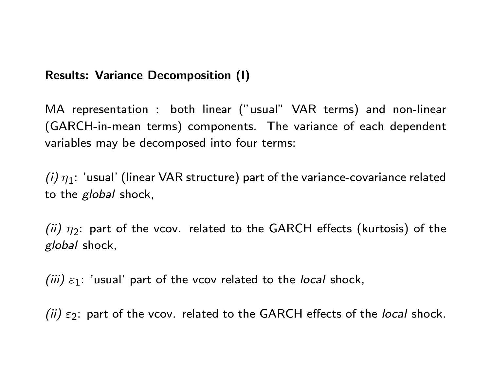# Results: Variance Decomposition (I)

MA representation : both linear ("usual" VAR terms) and non-linear (GARCH-in-mean terms) components. The variance of each dependent variables may be decomposed into four terms:

 $\left(i\right)\eta_1$ : 'usual' (linear VAR structure) part of the variance-covariance related to the *global* shock,

(ii)  $\eta_2$ : part of the vcov. related to the GARCH effects (kurtosis) of the global shock,

(iii)  $\varepsilon_1$ : 'usual' part of the vcov related to the local shock,

(ii)  $\varepsilon_2$ : part of the vcov. related to the GARCH effects of the local shock.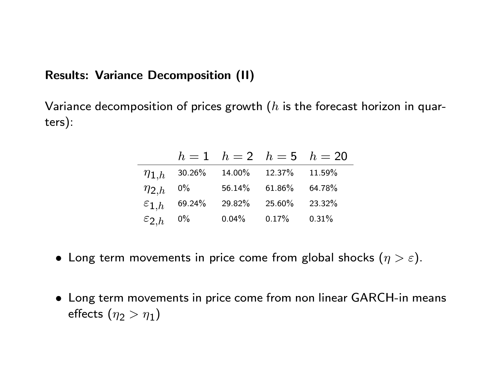# Results: Variance Decomposition (II)

Variance decomposition of prices growth  $(h$  is the forecast horizon in quarters):

|                     |           |           |          | $h = 1$ $h = 2$ $h = 5$ $h = 20$ |
|---------------------|-----------|-----------|----------|----------------------------------|
| $\eta_{1,h}$        | $30.26\%$ | $14.00\%$ | 12.37%   | 11.59%                           |
| $\eta_{2,h}$        | $0\%$     | 56.14%    | 61.86%   | 64.78%                           |
| $\varepsilon_{1,h}$ | 69.24%    | 29.82%    | 25.60%   | 23.32%                           |
| $\varepsilon_{2,h}$ | $0\%$     | $0.04\%$  | $0.17\%$ | 0.31%                            |

- Long term movements in price come from global shocks  $(\eta > \varepsilon)$ .
- Long term movements in price come from non linear GARCH-in means effects  $(\eta_2>\eta_1)$